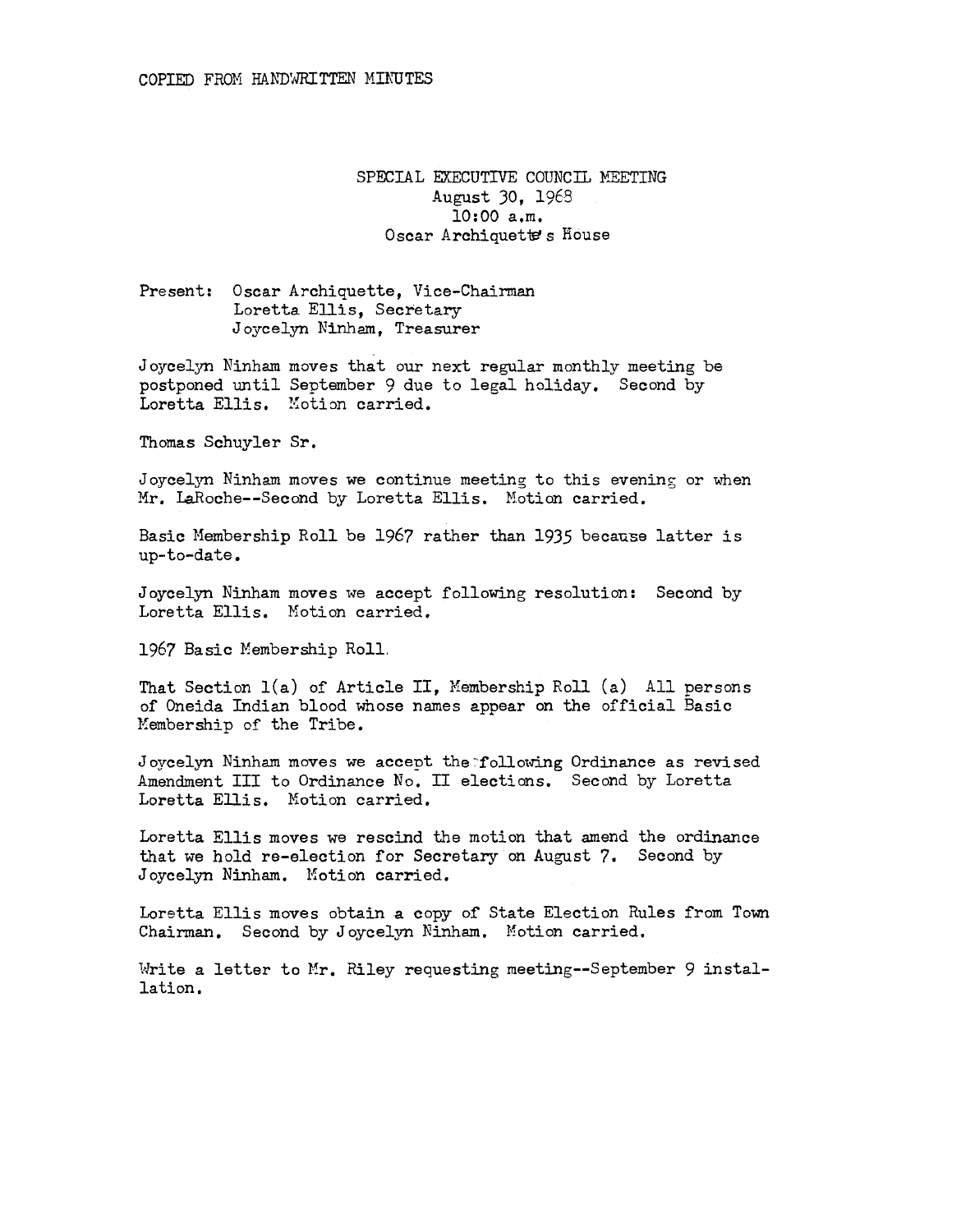## SPECIAL EXECUTIVE COUNCIL MEETING August 30, 1963 10:00 a.m. Oscar Archiquette's House

Present: Oscar Archiquette, Vice-Chairman Loretta Ellis, Secretary Joycelyn Ninham, Treasurer

Joycelyn Ninham moves that our next regular monthly meeting be postponed until September 9 due to legal holiday. Second by Loretta Ellis. Motion carried.

Thomas Schuyler Sr.

Joycelyn Ninham moves we continue meeting to this evening or when Mr. LaRoche--Second by Loretta Ellis. Motion carried.

Basic Hembership Roll be 1967 rather than 1935 because latter is up-to-date.

Joycelyn Ninham moves we accept following resolution: Second by Loretta Ellis. Motion carried.

1967 Basic Hembership Roll.

That Section l(a) of Article II, Hembership Roll (a) All persons of Oneida Indian blood whose names appear on the official Basic Hembership of the Tribe.

Joycelyn Ninham moves we accept the following Ordinance as revised Amendment III to Ordinance No. II elections. Second by Loretta Loretta Ellis. Motion carried.

Loretta Ellis moves we rescind the motion that amend the ordinance that we hold re-election for Secretary on August 7. Second by J oycelyn Ninham. Hotion carried.

Loretta Ellis moves obtain a copy of State Election Rules from Town Chairman. Second by Joycelyn Ninham. Motion carried.

Write a letter to Mr. Riley requesting meeting--September 9 installation.